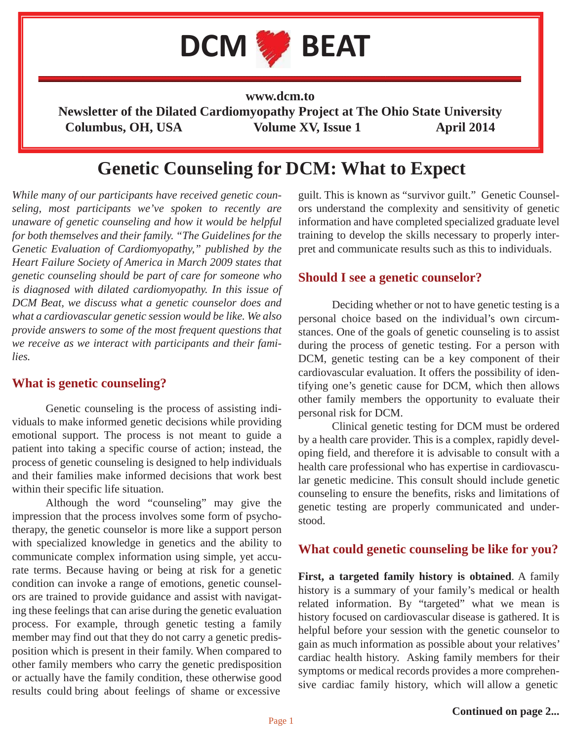

**www.dcm.to**

**Newsletter of the Dilated Cardiomyopathy Project at The Ohio State University** Columbus, OH, USA Volume XV, Issue 1 April 2014

# **Genetic Counseling for DCM: What to Expect**

*While many of our participants have received genetic counseling, most participants we've spoken to recently are unaware of genetic counseling and how it would be helpful for both themselves and their family. "The Guidelines for the Genetic Evaluation of Cardiomyopathy," published by the Heart Failure Society of America in March 2009 states that genetic counseling should be part of care for someone who is diagnosed with dilated cardiomyopathy. In this issue of DCM Beat, we discuss what a genetic counselor does and what a cardiovascular genetic session would be like. We also provide answers to some of the most frequent questions that we receive as we interact with participants and their families.* 

#### **What is genetic counseling?**

 Genetic counseling is the process of assisting individuals to make informed genetic decisions while providing emotional support. The process is not meant to guide a patient into taking a specific course of action; instead, the process of genetic counseling is designed to help individuals and their families make informed decisions that work best within their specific life situation.

 Although the word "counseling" may give the impression that the process involves some form of psychotherapy, the genetic counselor is more like a support person with specialized knowledge in genetics and the ability to communicate complex information using simple, yet accurate terms. Because having or being at risk for a genetic condition can invoke a range of emotions, genetic counselors are trained to provide guidance and assist with navigating these feelings that can arise during the genetic evaluation process. For example, through genetic testing a family member may find out that they do not carry a genetic predisposition which is present in their family. When compared to other family members who carry the genetic predisposition or actually have the family condition, these otherwise good results could bring about feelings of shame or excessive

guilt. This is known as "survivor guilt." Genetic Counselors understand the complexity and sensitivity of genetic information and have completed specialized graduate level training to develop the skills necessary to properly interpret and communicate results such as this to individuals.

#### **Should I see a genetic counselor?**

 Deciding whether or not to have genetic testing is a personal choice based on the individual's own circumstances. One of the goals of genetic counseling is to assist during the process of genetic testing. For a person with DCM, genetic testing can be a key component of their cardiovascular evaluation. It offers the possibility of identifying one's genetic cause for DCM, which then allows other family members the opportunity to evaluate their personal risk for DCM.

 Clinical genetic testing for DCM must be ordered by a health care provider. This is a complex, rapidly developing field, and therefore it is advisable to consult with a health care professional who has expertise in cardiovascular genetic medicine. This consult should include genetic counseling to ensure the benefits, risks and limitations of genetic testing are properly communicated and understood.

#### **What could genetic counseling be like for you?**

**First, a targeted family history is obtained**. A family history is a summary of your family's medical or health related information. By "targeted" what we mean is history focused on cardiovascular disease is gathered. It is helpful before your session with the genetic counselor to gain as much information as possible about your relatives' cardiac health history. Asking family members for their symptoms or medical records provides a more comprehensive cardiac family history, which will allow a genetic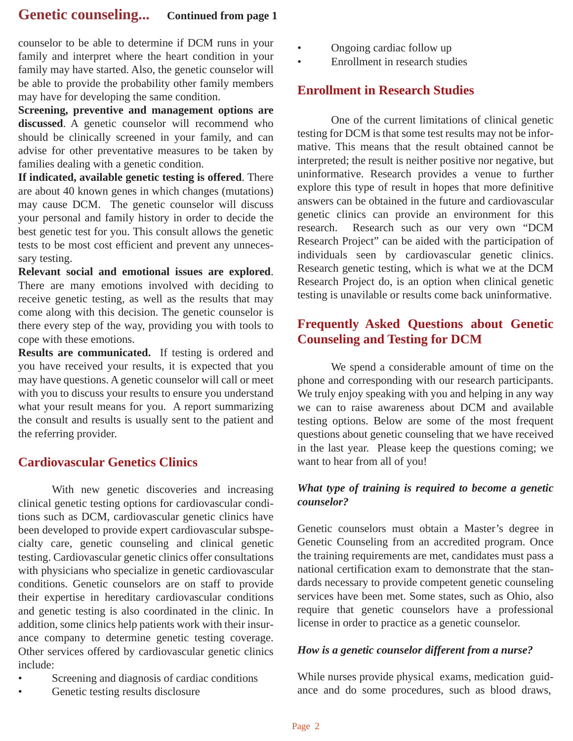# **Genetic counseling... Continued from page 1**

counselor to be able to determine if DCM runs in your family and interpret where the heart condition in your family may have started. Also, the genetic counselor will be able to provide the probability other family members may have for developing the same condition.

**Screening, preventive and management options are**  discussed. A genetic counselor will recommend who should be clinically screened in your family, and can advise for other preventative measures to be taken by families dealing with a genetic condition.

**If indicated, available genetic testing is offered**. There are about 40 known genes in which changes (mutations) may cause DCM. The genetic counselor will discuss your personal and family history in order to decide the best genetic test for you. This consult allows the genetic tests to be most cost efficient and prevent any unnecessary testing.

**Relevant social and emotional issues are explored**. There are many emotions involved with deciding to receive genetic testing, as well as the results that may come along with this decision. The genetic counselor is there every step of the way, providing you with tools to cope with these emotions.

**Results are communicated.** If testing is ordered and you have received your results, it is expected that you may have questions. A genetic counselor will call or meet with you to discuss your results to ensure you understand what your result means for you. A report summarizing the consult and results is usually sent to the patient and the referring provider.

## **Cardiovascular Genetics Clinics**

 With new genetic discoveries and increasing clinical genetic testing options for cardiovascular conditions such as DCM, cardiovascular genetic clinics have been developed to provide expert cardiovascular subspecialty care, genetic counseling and clinical genetic testing. Cardiovascular genetic clinics offer consultations with physicians who specialize in genetic cardiovascular conditions. Genetic counselors are on staff to provide their expertise in hereditary cardiovascular conditions and genetic testing is also coordinated in the clinic. In addition, some clinics help patients work with their insurance company to determine genetic testing coverage. Other services offered by cardiovascular genetic clinics include:

- Screening and diagnosis of cardiac conditions
- Genetic testing results disclosure
- Ongoing cardiac follow up
- Enrollment in research studies

#### **Enrollment in Research Studies**

 One of the current limitations of clinical genetic testing for DCM is that some test results may not be informative. This means that the result obtained cannot be interpreted; the result is neither positive nor negative, but uninformative. Research provides a venue to further explore this type of result in hopes that more definitive answers can be obtained in the future and cardiovascular genetic clinics can provide an environment for this research. Research such as our very own "DCM Research Project" can be aided with the participation of individuals seen by cardiovascular genetic clinics. Research genetic testing, which is what we at the DCM Research Project do, is an option when clinical genetic testing is unavilable or results come back uninformative.

# **Frequently Asked Questions about Genetic Counseling and Testing for DCM**

 We spend a considerable amount of time on the phone and corresponding with our research participants. We truly enjoy speaking with you and helping in any way we can to raise awareness about DCM and available testing options. Below are some of the most frequent questions about genetic counseling that we have received in the last year. Please keep the questions coming; we want to hear from all of you!

#### *What type of training is required to become a genetic counselor?*

Genetic counselors must obtain a Master's degree in Genetic Counseling from an accredited program. Once the training requirements are met, candidates must pass a national certification exam to demonstrate that the standards necessary to provide competent genetic counseling services have been met. Some states, such as Ohio, also require that genetic counselors have a professional license in order to practice as a genetic counselor.

#### *How is a genetic counselor different from a nurse?*

While nurses provide physical exams, medication guidance and do some procedures, such as blood draws,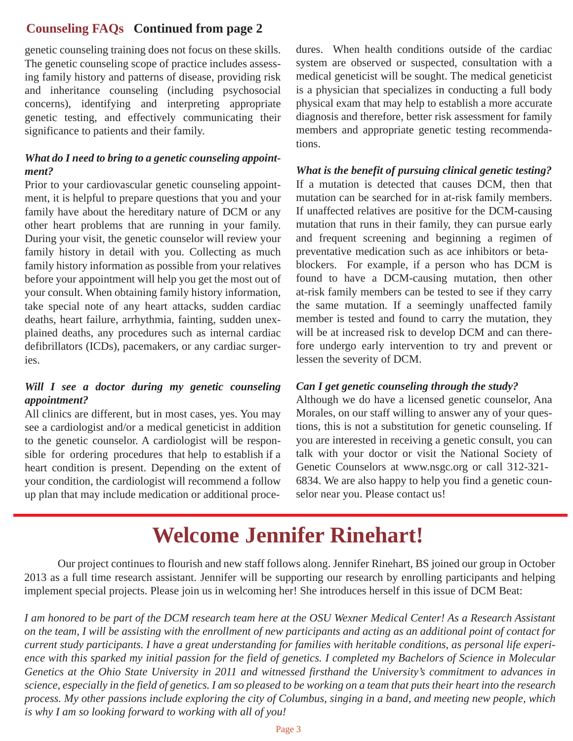### **Counseling FAQs Continued from page 2**

genetic counseling training does not focus on these skills. The genetic counseling scope of practice includes assessing family history and patterns of disease, providing risk and inheritance counseling (including psychosocial concerns), identifying and interpreting appropriate genetic testing, and effectively communicating their significance to patients and their family.

#### *What do I need to bring to a genetic counseling appointment?*

Prior to your cardiovascular genetic counseling appointment, it is helpful to prepare questions that you and your family have about the hereditary nature of DCM or any other heart problems that are running in your family. During your visit, the genetic counselor will review your family history in detail with you. Collecting as much family history information as possible from your relatives before your appointment will help you get the most out of your consult. When obtaining family history information, take special note of any heart attacks, sudden cardiac deaths, heart failure, arrhythmia, fainting, sudden unexplained deaths, any procedures such as internal cardiac defibrillators (ICDs), pacemakers, or any cardiac surgeries.

#### *Will I see a doctor during my genetic counseling appointment?*

All clinics are different, but in most cases, yes. You may see a cardiologist and/or a medical geneticist in addition to the genetic counselor. A cardiologist will be responsible for ordering procedures that help to establish if a heart condition is present. Depending on the extent of your condition, the cardiologist will recommend a follow up plan that may include medication or additional procedures. When health conditions outside of the cardiac system are observed or suspected, consultation with a medical geneticist will be sought. The medical geneticist is a physician that specializes in conducting a full body physical exam that may help to establish a more accurate diagnosis and therefore, better risk assessment for family members and appropriate genetic testing recommendations.

*What is the benefit of pursuing clinical genetic testing?* If a mutation is detected that causes DCM, then that mutation can be searched for in at-risk family members. If unaffected relatives are positive for the DCM-causing mutation that runs in their family, they can pursue early and frequent screening and beginning a regimen of preventative medication such as ace inhibitors or betablockers. For example, if a person who has DCM is found to have a DCM-causing mutation, then other at-risk family members can be tested to see if they carry the same mutation. If a seemingly unaffected family member is tested and found to carry the mutation, they will be at increased risk to develop DCM and can therefore undergo early intervention to try and prevent or lessen the severity of DCM.

#### *Can I get genetic counseling through the study?*

Although we do have a licensed genetic counselor, Ana Morales, on our staff willing to answer any of your questions, this is not a substitution for genetic counseling. If you are interested in receiving a genetic consult, you can talk with your doctor or visit the National Society of Genetic Counselors at www.nsgc.org or call 312-321- 6834. We are also happy to help you find a genetic counselor near you. Please contact us!

# **Welcome Jennifer Rinehart!**

 Our project continues to flourish and new staff follows along. Jennifer Rinehart, BS joined our group in October 2013 as a full time research assistant. Jennifer will be supporting our research by enrolling participants and helping implement special projects. Please join us in welcoming her! She introduces herself in this issue of DCM Beat:

*I am honored to be part of the DCM research team here at the OSU Wexner Medical Center! As a Research Assistant on the team, I will be assisting with the enrollment of new participants and acting as an additional point of contact for current study participants. I have a great understanding for families with heritable conditions, as personal life experi*ence with this sparked my initial passion for the field of genetics. I completed my Bachelors of Science in Molecular *Genetics at the Ohio State University in 2011 and witnessed firsthand the University's commitment to advances in science, especially in the field of genetics. I am so pleased to be working on a team that puts their heart into the research process. My other passions include exploring the city of Columbus, singing in a band, and meeting new people, which is why I am so looking forward to working with all of you!*